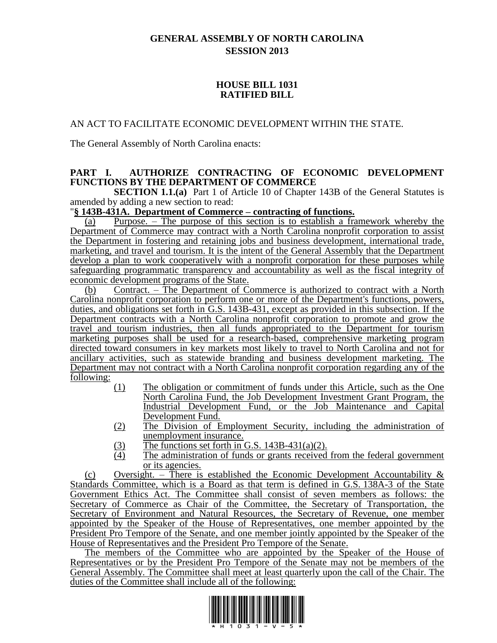# **GENERAL ASSEMBLY OF NORTH CAROLINA SESSION 2013**

## **HOUSE BILL 1031 RATIFIED BILL**

## AN ACT TO FACILITATE ECONOMIC DEVELOPMENT WITHIN THE STATE.

The General Assembly of North Carolina enacts:

## **PART I. AUTHORIZE CONTRACTING OF ECONOMIC DEVELOPMENT FUNCTIONS BY THE DEPARTMENT OF COMMERCE**

**SECTION 1.1.(a)** Part 1 of Article 10 of Chapter 143B of the General Statutes is amended by adding a new section to read:

## "**§ 143B-431A. Department of Commerce – contracting of functions.**

(a) Purpose. – The purpose of this section is to establish a framework whereby the Department of Commerce may contract with a North Carolina nonprofit corporation to assist the Department in fostering and retaining jobs and business development, international trade, marketing, and travel and tourism. It is the intent of the General Assembly that the Department develop a plan to work cooperatively with a nonprofit corporation for these purposes while safeguarding programmatic transparency and accountability as well as the fiscal integrity of economic development programs of the State.

(b) Contract. – The Department of Commerce is authorized to contract with a North Carolina nonprofit corporation to perform one or more of the Department's functions, powers, duties, and obligations set forth in G.S. 143B-431, except as provided in this subsection. If the Department contracts with a North Carolina nonprofit corporation to promote and grow the travel and tourism industries, then all funds appropriated to the Department for tourism marketing purposes shall be used for a research-based, comprehensive marketing program directed toward consumers in key markets most likely to travel to North Carolina and not for ancillary activities, such as statewide branding and business development marketing. The Department may not contract with a North Carolina nonprofit corporation regarding any of the following:

- (1) The obligation or commitment of funds under this Article, such as the One North Carolina Fund, the Job Development Investment Grant Program, the Industrial Development Fund, or the Job Maintenance and Capital Development Fund.
- (2) The Division of Employment Security, including the administration of unemployment insurance.
- (3) The functions set forth in G.S. 143B-431(a)(2).<br>The administration of funds or grants received
- The administration of funds or grants received from the federal government or its agencies.

(c) Oversight. – There is established the Economic Development Accountability  $\&$ Standards Committee, which is a Board as that term is defined in G.S. 138A-3 of the State Government Ethics Act. The Committee shall consist of seven members as follows: the Secretary of Commerce as Chair of the Committee, the Secretary of Transportation, the Secretary of Environment and Natural Resources, the Secretary of Revenue, one member appointed by the Speaker of the House of Representatives, one member appointed by the President Pro Tempore of the Senate, and one member jointly appointed by the Speaker of the House of Representatives and the President Pro Tempore of the Senate.

The members of the Committee who are appointed by the Speaker of the House of Representatives or by the President Pro Tempore of the Senate may not be members of the General Assembly. The Committee shall meet at least quarterly upon the call of the Chair. The duties of the Committee shall include all of the following:

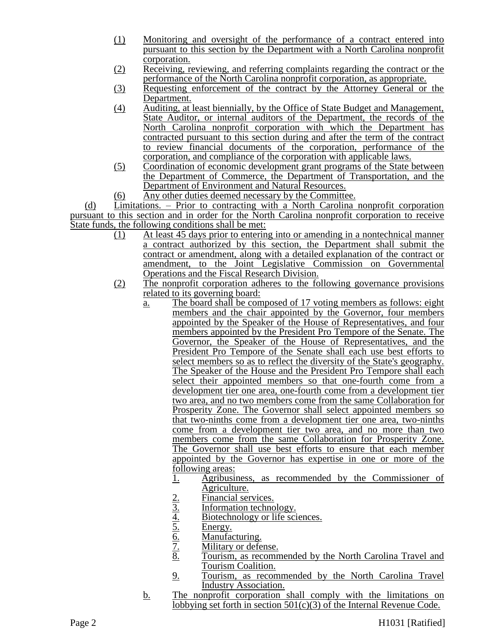- (1) Monitoring and oversight of the performance of a contract entered into pursuant to this section by the Department with a North Carolina nonprofit corporation.
- (2) Receiving, reviewing, and referring complaints regarding the contract or the performance of the North Carolina nonprofit corporation, as appropriate.
- (3) Requesting enforcement of the contract by the Attorney General or the Department.
- (4) Auditing, at least biennially, by the Office of State Budget and Management, State Auditor, or internal auditors of the Department, the records of the North Carolina nonprofit corporation with which the Department has contracted pursuant to this section during and after the term of the contract to review financial documents of the corporation, performance of the corporation, and compliance of the corporation with applicable laws.
- (5) Coordination of economic development grant programs of the State between the Department of Commerce, the Department of Transportation, and the Department of Environment and Natural Resources.
- (6) Any other duties deemed necessary by the Committee.

(d) Limitations. – Prior to contracting with a North Carolina nonprofit corporation pursuant to this section and in order for the North Carolina nonprofit corporation to receive State funds, the following conditions shall be met:

- (1) At least 45 days prior to entering into or amending in a nontechnical manner a contract authorized by this section, the Department shall submit the contract or amendment, along with a detailed explanation of the contract or amendment, to the Joint Legislative Commission on Governmental Operations and the Fiscal Research Division.
- (2) The nonprofit corporation adheres to the following governance provisions related to its governing board:
	- a. The board shall be composed of 17 voting members as follows: eight members and the chair appointed by the Governor, four members appointed by the Speaker of the House of Representatives, and four members appointed by the President Pro Tempore of the Senate. The Governor, the Speaker of the House of Representatives, and the President Pro Tempore of the Senate shall each use best efforts to select members so as to reflect the diversity of the State's geography. The Speaker of the House and the President Pro Tempore shall each select their appointed members so that one-fourth come from a development tier one area, one-fourth come from a development tier two area, and no two members come from the same Collaboration for Prosperity Zone. The Governor shall select appointed members so that two-ninths come from a development tier one area, two-ninths come from a development tier two area, and no more than two members come from the same Collaboration for Prosperity Zone. The Governor shall use best efforts to ensure that each member appointed by the Governor has expertise in one or more of the following areas:
		- 1. Agribusiness, as recommended by the Commissioner of Agriculture.
		-
		- Information technology.
		- <u>2. Financial services.<br>
		3. Information technology or l<br>
		5. Energy.<br>
		6. Manufacturing.<br>
		7. Military or defense<br>
		8. Tourism, as recom</u> Biotechnology or life sciences.
		- Energy.
		- Manufacturing.
		- Military or defense.
		- Tourism, as recommended by the North Carolina Travel and Tourism Coalition.
		- 9. Tourism, as recommended by the North Carolina Travel Industry Association.
	- b. The nonprofit corporation shall comply with the limitations on lobbying set forth in section 501(c)(3) of the Internal Revenue Code.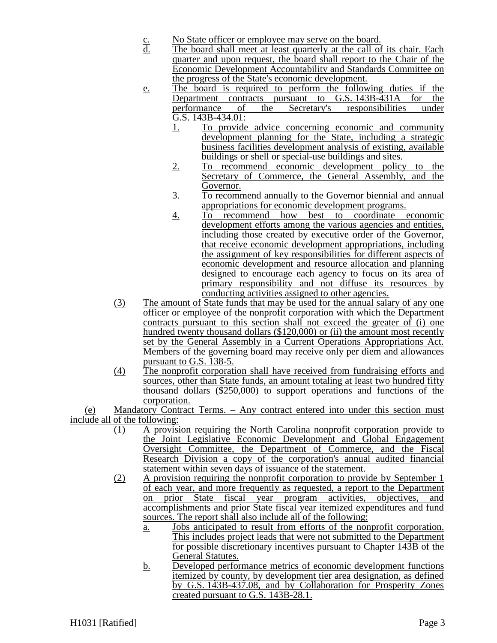- c. No State officer or employee may serve on the board.<br>d. The board shall meet at least quarterly at the call of
- The board shall meet at least quarterly at the call of its chair. Each quarter and upon request, the board shall report to the Chair of the Economic Development Accountability and Standards Committee on the progress of the State's economic development.
- e. The board is required to perform the following duties if the Department contracts pursuant to G.S. 143B-431A for the performance of the Secretary's responsibilities under performance of the Secretary's responsibilities under  $\overline{G}$ .S. 143B-434.01:
	- 1. To provide advice concerning economic and community development planning for the State, including a strategic business facilities development analysis of existing, available buildings or shell or special-use buildings and sites.
	- 2. To recommend economic development policy to the Secretary of Commerce, the General Assembly, and the Governor.
	- 3. To recommend annually to the Governor biennial and annual appropriations for economic development programs.
	- 4. To recommend how best to coordinate economic development efforts among the various agencies and entities, including those created by executive order of the Governor, that receive economic development appropriations, including the assignment of key responsibilities for different aspects of economic development and resource allocation and planning designed to encourage each agency to focus on its area of primary responsibility and not diffuse its resources by conducting activities assigned to other agencies.
- (3) The amount of State funds that may be used for the annual salary of any one officer or employee of the nonprofit corporation with which the Department contracts pursuant to this section shall not exceed the greater of (i) one hundred twenty thousand dollars (\$120,000) or (ii) the amount most recently set by the General Assembly in a Current Operations Appropriations Act. Members of the governing board may receive only per diem and allowances pursuant to G.S. 138-5.
- (4) The nonprofit corporation shall have received from fundraising efforts and sources, other than State funds, an amount totaling at least two hundred fifty thousand dollars (\$250,000) to support operations and functions of the corporation.

(e) Mandatory Contract Terms. – Any contract entered into under this section must include all of the following:

- (1) A provision requiring the North Carolina nonprofit corporation provide to the Joint Legislative Economic Development and Global Engagement Oversight Committee, the Department of Commerce, and the Fiscal Research Division a copy of the corporation's annual audited financial statement within seven days of issuance of the statement.
- (2) A provision requiring the nonprofit corporation to provide by September 1 of each year, and more frequently as requested, a report to the Department on prior State fiscal year program activities, objectives, and accomplishments and prior State fiscal year itemized expenditures and fund sources. The report shall also include all of the following:
	- a. Jobs anticipated to result from efforts of the nonprofit corporation. This includes project leads that were not submitted to the Department for possible discretionary incentives pursuant to Chapter 143B of the General Statutes.
	- b. Developed performance metrics of economic development functions itemized by county, by development tier area designation, as defined by G.S. 143B-437.08, and by Collaboration for Prosperity Zones created pursuant to G.S. 143B-28.1.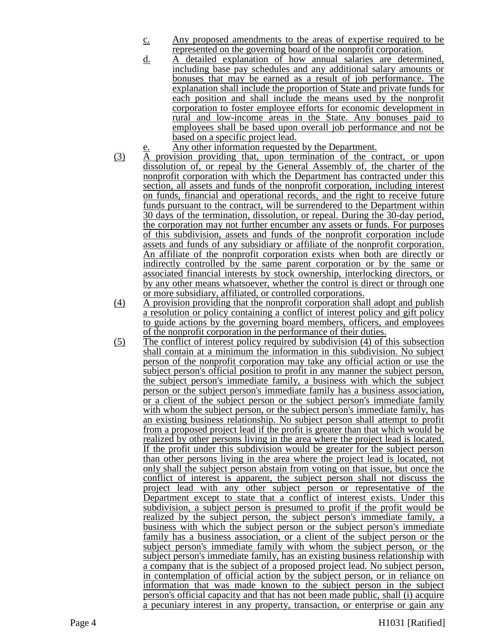- c. Any proposed amendments to the areas of expertise required to be represented on the governing board of the nonprofit corporation.
- d. A detailed explanation of how annual salaries are determined, including base pay schedules and any additional salary amounts or bonuses that may be earned as a result of job performance. The explanation shall include the proportion of State and private funds for each position and shall include the means used by the nonprofit corporation to foster employee efforts for economic development in rural and low-income areas in the State. Any bonuses paid to employees shall be based upon overall job performance and not be based on a specific project lead.
- Any other information requested by the Department.
- (3) A provision providing that, upon termination of the contract, or upon dissolution of, or repeal by the General Assembly of, the charter of the nonprofit corporation with which the Department has contracted under this section, all assets and funds of the nonprofit corporation, including interest on funds, financial and operational records, and the right to receive future funds pursuant to the contract, will be surrendered to the Department within 30 days of the termination, dissolution, or repeal. During the 30-day period, the corporation may not further encumber any assets or funds. For purposes of this subdivision, assets and funds of the nonprofit corporation include assets and funds of any subsidiary or affiliate of the nonprofit corporation. An affiliate of the nonprofit corporation exists when both are directly or indirectly controlled by the same parent corporation or by the same or associated financial interests by stock ownership, interlocking directors, or by any other means whatsoever, whether the control is direct or through one or more subsidiary, affiliated, or controlled corporations.
- (4) A provision providing that the nonprofit corporation shall adopt and publish a resolution or policy containing a conflict of interest policy and gift policy to guide actions by the governing board members, officers, and employees of the nonprofit corporation in the performance of their duties.
- (5) The conflict of interest policy required by subdivision (4) of this subsection shall contain at a minimum the information in this subdivision. No subject person of the nonprofit corporation may take any official action or use the subject person's official position to profit in any manner the subject person, the subject person's immediate family, a business with which the subject person or the subject person's immediate family has a business association, or a client of the subject person or the subject person's immediate family with whom the subject person, or the subject person's immediate family, has an existing business relationship. No subject person shall attempt to profit from a proposed project lead if the profit is greater than that which would be realized by other persons living in the area where the project lead is located. If the profit under this subdivision would be greater for the subject person than other persons living in the area where the project lead is located, not only shall the subject person abstain from voting on that issue, but once the conflict of interest is apparent, the subject person shall not discuss the project lead with any other subject person or representative of the Department except to state that a conflict of interest exists. Under this subdivision, a subject person is presumed to profit if the profit would be realized by the subject person, the subject person's immediate family, a business with which the subject person or the subject person's immediate family has a business association, or a client of the subject person or the subject person's immediate family with whom the subject person, or the subject person's immediate family, has an existing business relationship with a company that is the subject of a proposed project lead. No subject person, in contemplation of official action by the subject person, or in reliance on information that was made known to the subject person in the subject person's official capacity and that has not been made public, shall (i) acquire a pecuniary interest in any property, transaction, or enterprise or gain any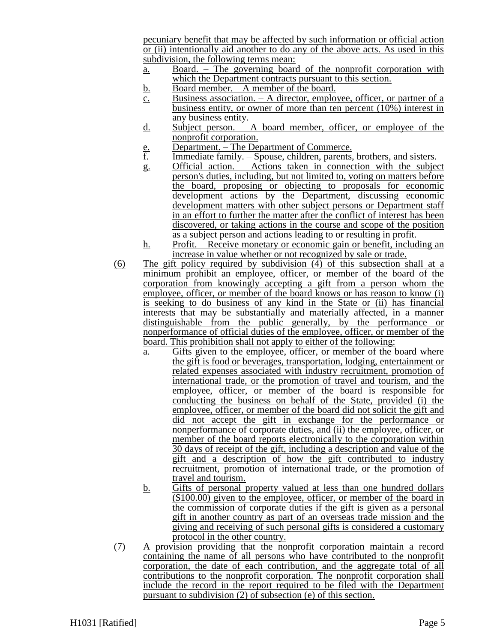pecuniary benefit that may be affected by such information or official action or (ii) intentionally aid another to do any of the above acts. As used in this subdivision, the following terms mean:

- a. Board. The governing board of the nonprofit corporation with which the Department contracts pursuant to this section.
- b. Board member. A member of the board.
- $\overline{c}$ . Business association. A director, employee, officer, or partner of a business entity, or owner of more than ten percent  $(10\%)$  interest in any business entity.
- d. Subject person. A board member, officer, or employee of the nonprofit corporation.
- e. Department. The Department of Commerce.<br><u>f.</u> Immediate family. Spouse, children, parents,
- Immediate family. Spouse, children, parents, brothers, and sisters.
- g. Official action. Actions taken in connection with the subject person's duties, including, but not limited to, voting on matters before the board, proposing or objecting to proposals for economic development actions by the Department, discussing economic development matters with other subject persons or Department staff in an effort to further the matter after the conflict of interest has been discovered, or taking actions in the course and scope of the position as a subject person and actions leading to or resulting in profit.
- h. Profit. Receive monetary or economic gain or benefit, including an increase in value whether or not recognized by sale or trade.
- (6) The gift policy required by subdivision (4) of this subsection shall at a minimum prohibit an employee, officer, or member of the board of the corporation from knowingly accepting a gift from a person whom the employee, officer, or member of the board knows or has reason to know (i) is seeking to do business of any kind in the State or (ii) has financial interests that may be substantially and materially affected, in a manner distinguishable from the public generally, by the performance or nonperformance of official duties of the employee, officer, or member of the board. This prohibition shall not apply to either of the following:
	- a. Gifts given to the employee, officer, or member of the board where the gift is food or beverages, transportation, lodging, entertainment or related expenses associated with industry recruitment, promotion of international trade, or the promotion of travel and tourism, and the employee, officer, or member of the board is responsible for conducting the business on behalf of the State, provided (i) the employee, officer, or member of the board did not solicit the gift and did not accept the gift in exchange for the performance or nonperformance of corporate duties, and (ii) the employee, officer, or member of the board reports electronically to the corporation within 30 days of receipt of the gift, including a description and value of the gift and a description of how the gift contributed to industry recruitment, promotion of international trade, or the promotion of travel and tourism.
	- b. Gifts of personal property valued at less than one hundred dollars (\$100.00) given to the employee, officer, or member of the board in the commission of corporate duties if the gift is given as a personal gift in another country as part of an overseas trade mission and the giving and receiving of such personal gifts is considered a customary protocol in the other country.
- (7) A provision providing that the nonprofit corporation maintain a record containing the name of all persons who have contributed to the nonprofit corporation, the date of each contribution, and the aggregate total of all contributions to the nonprofit corporation. The nonprofit corporation shall include the record in the report required to be filed with the Department pursuant to subdivision (2) of subsection (e) of this section.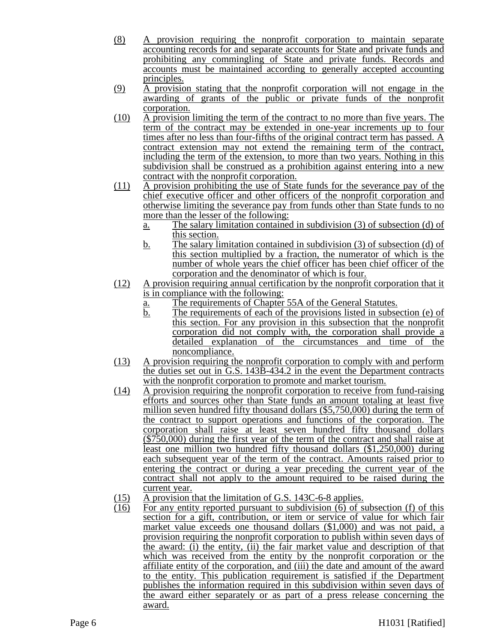- (8) A provision requiring the nonprofit corporation to maintain separate accounting records for and separate accounts for State and private funds and prohibiting any commingling of State and private funds. Records and accounts must be maintained according to generally accepted accounting principles.
- (9) A provision stating that the nonprofit corporation will not engage in the awarding of grants of the public or private funds of the nonprofit corporation.
- (10) A provision limiting the term of the contract to no more than five years. The term of the contract may be extended in one-year increments up to four times after no less than four-fifths of the original contract term has passed. A contract extension may not extend the remaining term of the contract, including the term of the extension, to more than two years. Nothing in this subdivision shall be construed as a prohibition against entering into a new contract with the nonprofit corporation.
- (11) A provision prohibiting the use of State funds for the severance pay of the chief executive officer and other officers of the nonprofit corporation and otherwise limiting the severance pay from funds other than State funds to no more than the lesser of the following:
	- a. The salary limitation contained in subdivision (3) of subsection (d) of this section.
	- b. The salary limitation contained in subdivision (3) of subsection (d) of this section multiplied by a fraction, the numerator of which is the number of whole years the chief officer has been chief officer of the corporation and the denominator of which is four.
- (12) A provision requiring annual certification by the nonprofit corporation that it is in compliance with the following:
	- a. The requirements of Chapter 55A of the General Statutes.
	- $\overline{b}$ . The requirements of each of the provisions listed in subsection (e) of this section. For any provision in this subsection that the nonprofit corporation did not comply with, the corporation shall provide a detailed explanation of the circumstances and time of the noncompliance.
- (13) A provision requiring the nonprofit corporation to comply with and perform the duties set out in G.S. 143B-434.2 in the event the Department contracts with the nonprofit corporation to promote and market tourism.
- (14) A provision requiring the nonprofit corporation to receive from fund-raising efforts and sources other than State funds an amount totaling at least five million seven hundred fifty thousand dollars (\$5,750,000) during the term of the contract to support operations and functions of the corporation. The corporation shall raise at least seven hundred fifty thousand dollars (\$750,000) during the first year of the term of the contract and shall raise at least one million two hundred fifty thousand dollars (\$1,250,000) during each subsequent year of the term of the contract. Amounts raised prior to entering the contract or during a year preceding the current year of the contract shall not apply to the amount required to be raised during the current year.
- (15) A provision that the limitation of G.S. 143C-6-8 applies.
- (16) For any entity reported pursuant to subdivision (6) of subsection (f) of this section for a gift, contribution, or item or service of value for which fair market value exceeds one thousand dollars (\$1,000) and was not paid, a provision requiring the nonprofit corporation to publish within seven days of the award: (i) the entity, (ii) the fair market value and description of that which was received from the entity by the nonprofit corporation or the affiliate entity of the corporation, and (iii) the date and amount of the award to the entity. This publication requirement is satisfied if the Department publishes the information required in this subdivision within seven days of the award either separately or as part of a press release concerning the award.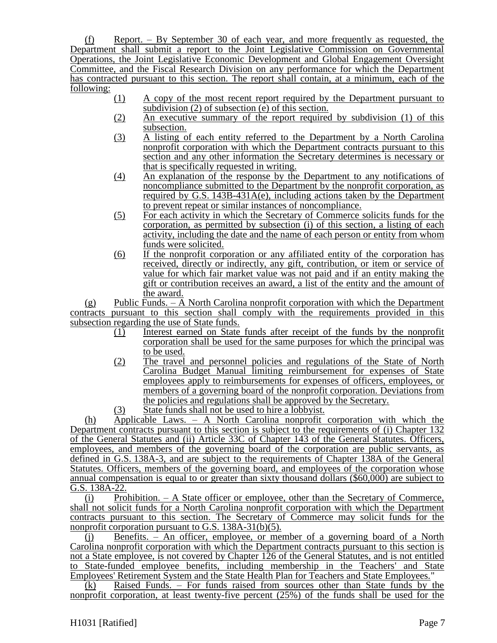(f) Report. – By September 30 of each year, and more frequently as requested, the Department shall submit a report to the Joint Legislative Commission on Governmental Operations, the Joint Legislative Economic Development and Global Engagement Oversight Committee, and the Fiscal Research Division on any performance for which the Department has contracted pursuant to this section. The report shall contain, at a minimum, each of the following:

- (1) A copy of the most recent report required by the Department pursuant to subdivision  $(2)$  of subsection  $(e)$  of this section.
- (2) An executive summary of the report required by subdivision (1) of this subsection.
- (3) A listing of each entity referred to the Department by a North Carolina nonprofit corporation with which the Department contracts pursuant to this section and any other information the Secretary determines is necessary or that is specifically requested in writing.
- (4) An explanation of the response by the Department to any notifications of noncompliance submitted to the Department by the nonprofit corporation, as required by G.S. 143B-431A(e), including actions taken by the Department to prevent repeat or similar instances of noncompliance.
- (5) For each activity in which the Secretary of Commerce solicits funds for the corporation, as permitted by subsection (i) of this section, a listing of each activity, including the date and the name of each person or entity from whom funds were solicited.
- (6) If the nonprofit corporation or any affiliated entity of the corporation has received, directly or indirectly, any gift, contribution, or item or service of value for which fair market value was not paid and if an entity making the gift or contribution receives an award, a list of the entity and the amount of the award.

(g) Public Funds. – A North Carolina nonprofit corporation with which the Department contracts pursuant to this section shall comply with the requirements provided in this subsection regarding the use of State funds.

- (1) Interest earned on State funds after receipt of the funds by the nonprofit corporation shall be used for the same purposes for which the principal was to be used.
- (2) The travel and personnel policies and regulations of the State of North Carolina Budget Manual limiting reimbursement for expenses of State employees apply to reimbursements for expenses of officers, employees, or members of a governing board of the nonprofit corporation. Deviations from the policies and regulations shall be approved by the Secretary.
- (3) State funds shall not be used to hire a lobbyist.

(h) Applicable Laws. – A North Carolina nonprofit corporation with which the Department contracts pursuant to this section is subject to the requirements of (i) Chapter 132 of the General Statutes and (ii) Article 33C of Chapter 143 of the General Statutes. Officers, employees, and members of the governing board of the corporation are public servants, as defined in G.S. 138A-3, and are subject to the requirements of Chapter 138A of the General Statutes. Officers, members of the governing board, and employees of the corporation whose annual compensation is equal to or greater than sixty thousand dollars (\$60,000) are subject to G.S. 138A-22.

(i) Prohibition. – A State officer or employee, other than the Secretary of Commerce, shall not solicit funds for a North Carolina nonprofit corporation with which the Department contracts pursuant to this section. The Secretary of Commerce may solicit funds for the nonprofit corporation pursuant to G.S. 138A-31(b)(5).

(j) Benefits. – An officer, employee, or member of a governing board of a North Carolina nonprofit corporation with which the Department contracts pursuant to this section is not a State employee, is not covered by Chapter 126 of the General Statutes, and is not entitled to State-funded employee benefits, including membership in the Teachers' and State Employees' Retirement System and the State Health Plan for Teachers and State Employees."

(k) Raised Funds. – For funds raised from sources other than State funds by the nonprofit corporation, at least twenty-five percent (25%) of the funds shall be used for the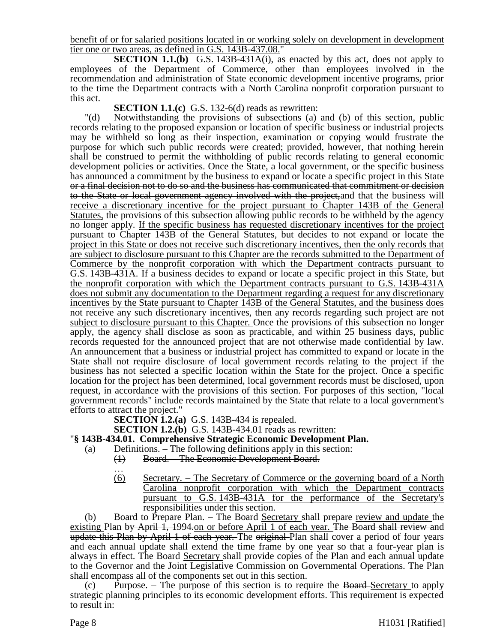benefit of or for salaried positions located in or working solely on development in development tier one or two areas, as defined in G.S. 143B-437.08."

**SECTION 1.1.(b)** G.S. 143B-431A(i), as enacted by this act, does not apply to employees of the Department of Commerce, other than employees involved in the recommendation and administration of State economic development incentive programs, prior to the time the Department contracts with a North Carolina nonprofit corporation pursuant to this act.

## **SECTION 1.1.(c)** G.S. 132-6(d) reads as rewritten:

"(d) Notwithstanding the provisions of subsections (a) and (b) of this section, public records relating to the proposed expansion or location of specific business or industrial projects may be withheld so long as their inspection, examination or copying would frustrate the purpose for which such public records were created; provided, however, that nothing herein shall be construed to permit the withholding of public records relating to general economic development policies or activities. Once the State, a local government, or the specific business has announced a commitment by the business to expand or locate a specific project in this State or a final decision not to do so and the business has communicated that commitment or decision to the State or local government agency involved with the project, and that the business will receive a discretionary incentive for the project pursuant to Chapter 143B of the General Statutes, the provisions of this subsection allowing public records to be withheld by the agency no longer apply. If the specific business has requested discretionary incentives for the project pursuant to Chapter 143B of the General Statutes, but decides to not expand or locate the project in this State or does not receive such discretionary incentives, then the only records that are subject to disclosure pursuant to this Chapter are the records submitted to the Department of Commerce by the nonprofit corporation with which the Department contracts pursuant to G.S. 143B-431A. If a business decides to expand or locate a specific project in this State, but the nonprofit corporation with which the Department contracts pursuant to G.S. 143B-431A does not submit any documentation to the Department regarding a request for any discretionary incentives by the State pursuant to Chapter 143B of the General Statutes, and the business does not receive any such discretionary incentives, then any records regarding such project are not subject to disclosure pursuant to this Chapter. Once the provisions of this subsection no longer apply, the agency shall disclose as soon as practicable, and within 25 business days, public records requested for the announced project that are not otherwise made confidential by law. An announcement that a business or industrial project has committed to expand or locate in the State shall not require disclosure of local government records relating to the project if the business has not selected a specific location within the State for the project. Once a specific location for the project has been determined, local government records must be disclosed, upon request, in accordance with the provisions of this section. For purposes of this section, "local government records" include records maintained by the State that relate to a local government's efforts to attract the project."

**SECTION 1.2.(a)** G.S. 143B-434 is repealed.

**SECTION 1.2.(b)** G.S. 143B-434.01 reads as rewritten:

## "**§ 143B-434.01. Comprehensive Strategic Economic Development Plan.**

- (a) Definitions. The following definitions apply in this section:
	- (1) Board. The Economic Development Board.
	- …
	- (6) Secretary. The Secretary of Commerce or the governing board of a North Carolina nonprofit corporation with which the Department contracts pursuant to G.S. 143B-431A for the performance of the Secretary's responsibilities under this section.

(b) Board to Prepare Plan. – The Board Secretary shall prepare review and update the existing Plan by April 1, 1994.on or before April 1 of each year. The Board shall review and update this Plan by April 1 of each year. The original Plan shall cover a period of four years and each annual update shall extend the time frame by one year so that a four-year plan is always in effect. The Board-Secretary shall provide copies of the Plan and each annual update to the Governor and the Joint Legislative Commission on Governmental Operations. The Plan shall encompass all of the components set out in this section.

 $(c)$  Purpose. – The purpose of this section is to require the Board-Secretary to apply strategic planning principles to its economic development efforts. This requirement is expected to result in: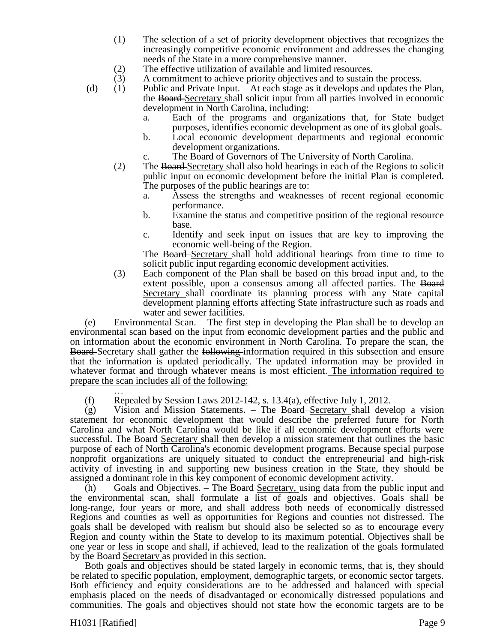- (1) The selection of a set of priority development objectives that recognizes the increasingly competitive economic environment and addresses the changing needs of the State in a more comprehensive manner.
- 

(2) The effective utilization of available and limited resources.<br>
(3) A commitment to achieve priority objectives and to sustain A commitment to achieve priority objectives and to sustain the process.

- (d) (1) Public and Private Input. At each stage as it develops and updates the Plan, the Board Secretary shall solicit input from all parties involved in economic development in North Carolina, including:
	- a. Each of the programs and organizations that, for State budget purposes, identifies economic development as one of its global goals.
	- b. Local economic development departments and regional economic development organizations.
	- c. The Board of Governors of The University of North Carolina.
	- (2) The Board Secretary shall also hold hearings in each of the Regions to solicit public input on economic development before the initial Plan is completed. The purposes of the public hearings are to:
		- a. Assess the strengths and weaknesses of recent regional economic performance.
		- b. Examine the status and competitive position of the regional resource base.
		- c. Identify and seek input on issues that are key to improving the economic well-being of the Region.

The Board Secretary shall hold additional hearings from time to time to solicit public input regarding economic development activities.

(3) Each component of the Plan shall be based on this broad input and, to the extent possible, upon a consensus among all affected parties. The Board Secretary shall coordinate its planning process with any State capital development planning efforts affecting State infrastructure such as roads and water and sewer facilities.

(e) Environmental Scan. – The first step in developing the Plan shall be to develop an environmental scan based on the input from economic development parties and the public and on information about the economic environment in North Carolina. To prepare the scan, the **Board**-Secretary shall gather the following-information required in this subsection and ensure that the information is updated periodically. The updated information may be provided in whatever format and through whatever means is most efficient. The information required to prepare the scan includes all of the following:

… (f) Repealed by Session Laws 2012-142, s. 13.4(a), effective July 1, 2012.

(g) Vision and Mission Statements. – The Board-Secretary shall develop a vision statement for economic development that would describe the preferred future for North Carolina and what North Carolina would be like if all economic development efforts were successful. The Board Secretary shall then develop a mission statement that outlines the basic purpose of each of North Carolina's economic development programs. Because special purpose nonprofit organizations are uniquely situated to conduct the entrepreneurial and high-risk activity of investing in and supporting new business creation in the State, they should be assigned a dominant role in this key component of economic development activity.

(h) Goals and Objectives. – The Board-Secretary, using data from the public input and the environmental scan, shall formulate a list of goals and objectives. Goals shall be long-range, four years or more, and shall address both needs of economically distressed Regions and counties as well as opportunities for Regions and counties not distressed. The goals shall be developed with realism but should also be selected so as to encourage every Region and county within the State to develop to its maximum potential. Objectives shall be one year or less in scope and shall, if achieved, lead to the realization of the goals formulated by the Board-Secretary as provided in this section.

Both goals and objectives should be stated largely in economic terms, that is, they should be related to specific population, employment, demographic targets, or economic sector targets. Both efficiency and equity considerations are to be addressed and balanced with special emphasis placed on the needs of disadvantaged or economically distressed populations and communities. The goals and objectives should not state how the economic targets are to be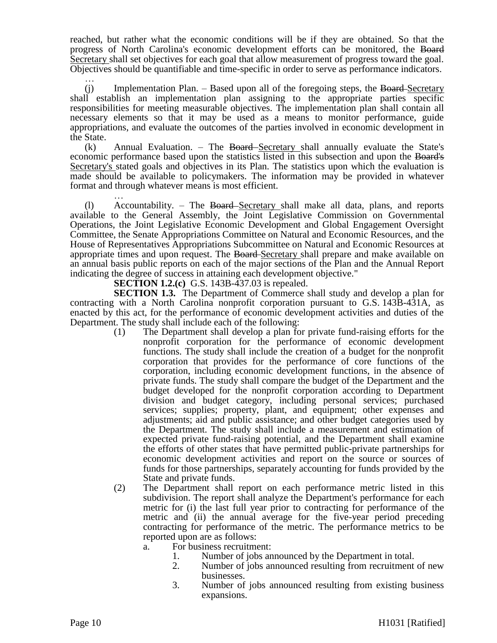reached, but rather what the economic conditions will be if they are obtained. So that the progress of North Carolina's economic development efforts can be monitored, the Board Secretary shall set objectives for each goal that allow measurement of progress toward the goal. Objectives should be quantifiable and time-specific in order to serve as performance indicators.

…  $(i)$  Implementation Plan. – Based upon all of the foregoing steps, the Board-Secretary shall establish an implementation plan assigning to the appropriate parties specific responsibilities for meeting measurable objectives. The implementation plan shall contain all necessary elements so that it may be used as a means to monitor performance, guide appropriations, and evaluate the outcomes of the parties involved in economic development in the State.

 $(k)$  Annual Evaluation. – The Board–Secretary shall annually evaluate the State's economic performance based upon the statistics listed in this subsection and upon the Board's Secretary's stated goals and objectives in its Plan. The statistics upon which the evaluation is made should be available to policymakers. The information may be provided in whatever format and through whatever means is most efficient.

… (l) Accountability. – The Board Secretary shall make all data, plans, and reports available to the General Assembly, the Joint Legislative Commission on Governmental Operations, the Joint Legislative Economic Development and Global Engagement Oversight Committee, the Senate Appropriations Committee on Natural and Economic Resources, and the House of Representatives Appropriations Subcommittee on Natural and Economic Resources at appropriate times and upon request. The Board Secretary shall prepare and make available on an annual basis public reports on each of the major sections of the Plan and the Annual Report indicating the degree of success in attaining each development objective."

**SECTION 1.2.(c)** G.S. 143B-437.03 is repealed.

**SECTION 1.3.** The Department of Commerce shall study and develop a plan for contracting with a North Carolina nonprofit corporation pursuant to G.S. 143B-431A, as enacted by this act, for the performance of economic development activities and duties of the Department. The study shall include each of the following:

- (1) The Department shall develop a plan for private fund-raising efforts for the nonprofit corporation for the performance of economic development functions. The study shall include the creation of a budget for the nonprofit corporation that provides for the performance of core functions of the corporation, including economic development functions, in the absence of private funds. The study shall compare the budget of the Department and the budget developed for the nonprofit corporation according to Department division and budget category, including personal services; purchased services; supplies; property, plant, and equipment; other expenses and adjustments; aid and public assistance; and other budget categories used by the Department. The study shall include a measurement and estimation of expected private fund-raising potential, and the Department shall examine the efforts of other states that have permitted public-private partnerships for economic development activities and report on the source or sources of funds for those partnerships, separately accounting for funds provided by the State and private funds.
- (2) The Department shall report on each performance metric listed in this subdivision. The report shall analyze the Department's performance for each metric for (i) the last full year prior to contracting for performance of the metric and (ii) the annual average for the five-year period preceding contracting for performance of the metric. The performance metrics to be reported upon are as follows:

a. For business recruitment:

- 1. Number of jobs announced by the Department in total.
- 2. Number of jobs announced resulting from recruitment of new businesses.
- 3. Number of jobs announced resulting from existing business expansions.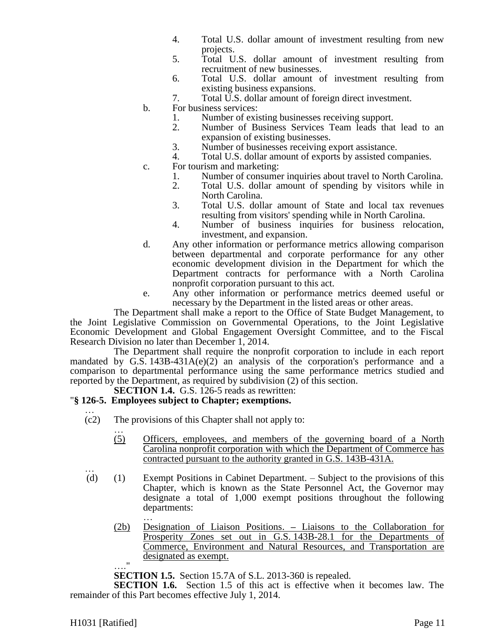- 4. Total U.S. dollar amount of investment resulting from new projects.
- 5. Total U.S. dollar amount of investment resulting from recruitment of new businesses.
- 6. Total U.S. dollar amount of investment resulting from existing business expansions.
- 7. Total U.S. dollar amount of foreign direct investment.
- b. For business services:
	- 1. Number of existing businesses receiving support.
	- 2. Number of Business Services Team leads that lead to an expansion of existing businesses.
	- 3. Number of businesses receiving export assistance.
	- 4. Total U.S. dollar amount of exports by assisted companies.
- c. For tourism and marketing:
	- 1. Number of consumer inquiries about travel to North Carolina.
	- 2. Total U.S. dollar amount of spending by visitors while in North Carolina.
	- 3. Total U.S. dollar amount of State and local tax revenues resulting from visitors' spending while in North Carolina.
	- 4. Number of business inquiries for business relocation, investment, and expansion.
- d. Any other information or performance metrics allowing comparison between departmental and corporate performance for any other economic development division in the Department for which the Department contracts for performance with a North Carolina nonprofit corporation pursuant to this act.
- e. Any other information or performance metrics deemed useful or necessary by the Department in the listed areas or other areas.

The Department shall make a report to the Office of State Budget Management, to the Joint Legislative Commission on Governmental Operations, to the Joint Legislative Economic Development and Global Engagement Oversight Committee, and to the Fiscal Research Division no later than December 1, 2014.

The Department shall require the nonprofit corporation to include in each report mandated by G.S.  $143B-431A(e)(2)$  an analysis of the corporation's performance and a comparison to departmental performance using the same performance metrics studied and reported by the Department, as required by subdivision (2) of this section.

# **SECTION 1.4.** G.S. 126-5 reads as rewritten:

## "**§ 126-5. Employees subject to Chapter; exemptions.**

- … (c2) The provisions of this Chapter shall not apply to:
	- … (5) Officers, employees, and members of the governing board of a North Carolina nonprofit corporation with which the Department of Commerce has contracted pursuant to the authority granted in G.S. 143B-431A.
- … (d) (1) Exempt Positions in Cabinet Department. – Subject to the provisions of this Chapter, which is known as the State Personnel Act, the Governor may designate a total of 1,000 exempt positions throughout the following departments:
	- … (2b) Designation of Liaison Positions. **–** Liaisons to the Collaboration for Prosperity Zones set out in G.S. 143B-28.1 for the Departments of Commerce, Environment and Natural Resources, and Transportation are designated as exempt. …."

**SECTION 1.5.** Section 15.7A of S.L. 2013-360 is repealed.

**SECTION 1.6.** Section 1.5 of this act is effective when it becomes law. The remainder of this Part becomes effective July 1, 2014.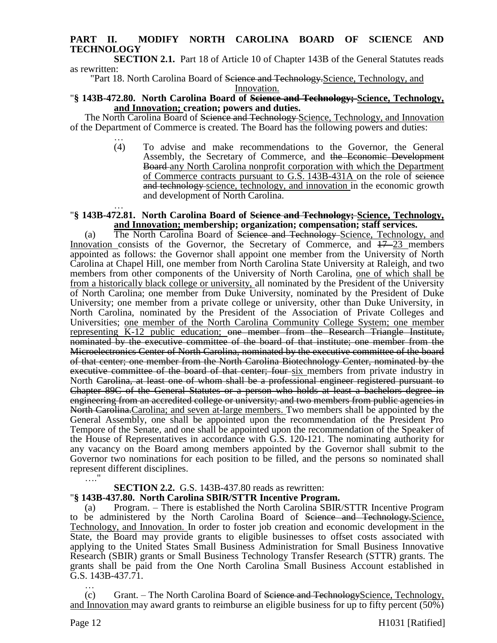## **PART II. MODIFY NORTH CAROLINA BOARD OF SCIENCE AND TECHNOLOGY**

**SECTION 2.1.** Part 18 of Article 10 of Chapter 143B of the General Statutes reads as rewritten:

"Part 18. North Carolina Board of Science and Technology. Science, Technology, and Innovation.

## "**§ 143B-472.80. North Carolina Board of Science and Technology; Science, Technology, and Innovation; creation; powers and duties.**

The North Carolina Board of Science and Technology Science, Technology, and Innovation of the Department of Commerce is created. The Board has the following powers and duties:

… (4) To advise and make recommendations to the Governor, the General Assembly, the Secretary of Commerce, and the Economic Development **Board** any North Carolina nonprofit corporation with which the Department of Commerce contracts pursuant to G.S. 143B-431A on the role of science and technology science, technology, and innovation in the economic growth and development of North Carolina.

#### … "**§ 143B-472.81. North Carolina Board of Science and Technology; Science, Technology, and Innovation; membership; organization; compensation; staff services.**

(a) The North Carolina Board of <del>Science and Technology</del>-Science, Technology, and Innovation consists of the Governor, the Secretary of Commerce, and  $17-23$  members appointed as follows: the Governor shall appoint one member from the University of North Carolina at Chapel Hill, one member from North Carolina State University at Raleigh, and two members from other components of the University of North Carolina, one of which shall be from a historically black college or university, all nominated by the President of the University of North Carolina; one member from Duke University, nominated by the President of Duke University; one member from a private college or university, other than Duke University, in North Carolina, nominated by the President of the Association of Private Colleges and Universities; one member of the North Carolina Community College System; one member representing K-12 public education; one member from the Research Triangle Institute, nominated by the executive committee of the board of that institute; one member from the Microelectronics Center of North Carolina, nominated by the executive committee of the board of that center; one member from the North Carolina Biotechnology Center, nominated by the executive committee of the board of that center; four six members from private industry in North Carolina, at least one of whom shall be a professional engineer registered pursuant to Chapter 89C of the General Statutes or a person who holds at least a bachelors degree in engineering from an accredited college or university; and two members from public agencies in North Carolina. Carolina; and seven at-large members. Two members shall be appointed by the General Assembly, one shall be appointed upon the recommendation of the President Pro Tempore of the Senate, and one shall be appointed upon the recommendation of the Speaker of the House of Representatives in accordance with G.S. 120-121. The nominating authority for any vacancy on the Board among members appointed by the Governor shall submit to the Governor two nominations for each position to be filled, and the persons so nominated shall represent different disciplines.

## **SECTION 2.2.** G.S. 143B-437.80 reads as rewritten:

## "**§ 143B-437.80. North Carolina SBIR/STTR Incentive Program.**

Program. – There is established the North Carolina SBIR/STTR Incentive Program to be administered by the North Carolina Board of Science and Technology.Science, Technology, and Innovation. In order to foster job creation and economic development in the State, the Board may provide grants to eligible businesses to offset costs associated with applying to the United States Small Business Administration for Small Business Innovative Research (SBIR) grants or Small Business Technology Transfer Research (STTR) grants. The grants shall be paid from the One North Carolina Small Business Account established in G.S. 143B-437.71. …

(c) Grant. – The North Carolina Board of Seience and TechnologyScience, Technology, and Innovation may award grants to reimburse an eligible business for up to fifty percent (50%)

…."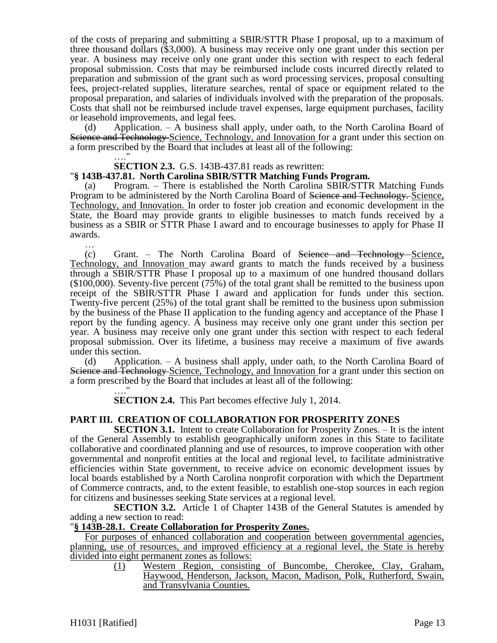of the costs of preparing and submitting a SBIR/STTR Phase I proposal, up to a maximum of three thousand dollars (\$3,000). A business may receive only one grant under this section per year. A business may receive only one grant under this section with respect to each federal proposal submission. Costs that may be reimbursed include costs incurred directly related to preparation and submission of the grant such as word processing services, proposal consulting fees, project-related supplies, literature searches, rental of space or equipment related to the proposal preparation, and salaries of individuals involved with the preparation of the proposals. Costs that shall not be reimbursed include travel expenses, large equipment purchases, facility or leasehold improvements, and legal fees.

(d) Application. – A business shall apply, under oath, to the North Carolina Board of Science and Technology Science, Technology, and Innovation for a grant under this section on a form prescribed by the Board that includes at least all of the following:

#### **SECTION 2.3.** G.S. 143B-437.81 reads as rewritten:

…."

#### "**§ 143B-437.81. North Carolina SBIR/STTR Matching Funds Program.**

(a) Program. – There is established the North Carolina SBIR/STTR Matching Funds Program to be administered by the North Carolina Board of <del>Science and Technology.</del> Science, Technology, and Innovation. In order to foster job creation and economic development in the State, the Board may provide grants to eligible businesses to match funds received by a business as a SBIR or STTR Phase I award and to encourage businesses to apply for Phase II awards.

… (c) Grant. – The North Carolina Board of Science and Technology Science, Technology, and Innovation may award grants to match the funds received by a business through a SBIR/STTR Phase I proposal up to a maximum of one hundred thousand dollars (\$100,000). Seventy-five percent (75%) of the total grant shall be remitted to the business upon receipt of the SBIR/STTR Phase I award and application for funds under this section. Twenty-five percent (25%) of the total grant shall be remitted to the business upon submission by the business of the Phase II application to the funding agency and acceptance of the Phase I report by the funding agency. A business may receive only one grant under this section per year. A business may receive only one grant under this section with respect to each federal proposal submission. Over its lifetime, a business may receive a maximum of five awards under this section.

(d) Application. – A business shall apply, under oath, to the North Carolina Board of Science and Technology Science, Technology, and Innovation for a grant under this section on a form prescribed by the Board that includes at least all of the following:

…." **SECTION 2.4.** This Part becomes effective July 1, 2014.

#### **PART III. CREATION OF COLLABORATION FOR PROSPERITY ZONES**

**SECTION 3.1.** Intent to create Collaboration for Prosperity Zones. – It is the intent of the General Assembly to establish geographically uniform zones in this State to facilitate collaborative and coordinated planning and use of resources, to improve cooperation with other governmental and nonprofit entities at the local and regional level, to facilitate administrative efficiencies within State government, to receive advice on economic development issues by local boards established by a North Carolina nonprofit corporation with which the Department of Commerce contracts, and, to the extent feasible, to establish one-stop sources in each region for citizens and businesses seeking State services at a regional level.

**SECTION 3.2.** Article 1 of Chapter 143B of the General Statutes is amended by adding a new section to read:

#### "**§ 143B-28.1. Create Collaboration for Prosperity Zones.**

For purposes of enhanced collaboration and cooperation between governmental agencies, planning, use of resources, and improved efficiency at a regional level, the State is hereby divided into eight permanent zones as follows:

> (1) Western Region, consisting of Buncombe, Cherokee, Clay, Graham, Haywood, Henderson, Jackson, Macon, Madison, Polk, Rutherford, Swain, and Transylvania Counties.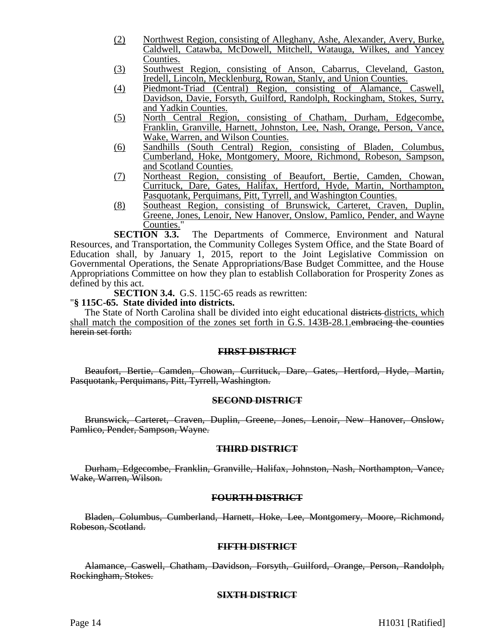- (2) Northwest Region, consisting of Alleghany, Ashe, Alexander, Avery, Burke, Caldwell, Catawba, McDowell, Mitchell, Watauga, Wilkes, and Yancey Counties.
- (3) Southwest Region, consisting of Anson, Cabarrus, Cleveland, Gaston, Iredell, Lincoln, Mecklenburg, Rowan, Stanly, and Union Counties.
- (4) Piedmont-Triad (Central) Region, consisting of Alamance, Caswell, Davidson, Davie, Forsyth, Guilford, Randolph, Rockingham, Stokes, Surry, and Yadkin Counties.
- (5) North Central Region, consisting of Chatham, Durham, Edgecombe, Franklin, Granville, Harnett, Johnston, Lee, Nash, Orange, Person, Vance, Wake, Warren, and Wilson Counties.
- (6) Sandhills (South Central) Region, consisting of Bladen, Columbus, Cumberland, Hoke, Montgomery, Moore, Richmond, Robeson, Sampson, and Scotland Counties.
- (7) Northeast Region, consisting of Beaufort, Bertie, Camden, Chowan, Currituck, Dare, Gates, Halifax, Hertford, Hyde, Martin, Northampton, Pasquotank, Perquimans, Pitt, Tyrrell, and Washington Counties.
- (8) Southeast Region, consisting of Brunswick, Carteret, Craven, Duplin, Greene, Jones, Lenoir, New Hanover, Onslow, Pamlico, Pender, and Wayne

**Counties.**"<br>**SECTION 3.3.** The Departments of Commerce, Environment and Natural Resources, and Transportation, the Community Colleges System Office, and the State Board of Education shall, by January 1, 2015, report to the Joint Legislative Commission on Governmental Operations, the Senate Appropriations/Base Budget Committee, and the House Appropriations Committee on how they plan to establish Collaboration for Prosperity Zones as defined by this act.

**SECTION 3.4.** G.S. 115C-65 reads as rewritten:

#### "**§ 115C-65. State divided into districts.**

The State of North Carolina shall be divided into eight educational districts districts, which shall match the composition of the zones set forth in G.S. 143B-28.1.embracing the counties herein set forth:

## **FIRST DISTRICT**

Beaufort, Bertie, Camden, Chowan, Currituck, Dare, Gates, Hertford, Hyde, Martin, Pasquotank, Perquimans, Pitt, Tyrrell, Washington.

#### **SECOND DISTRICT**

Brunswick, Carteret, Craven, Duplin, Greene, Jones, Lenoir, New Hanover, Onslow, Pamlico, Pender, Sampson, Wayne.

#### **THIRD DISTRICT**

Durham, Edgecombe, Franklin, Granville, Halifax, Johnston, Nash, Northampton, Vance, Wake, Warren, Wilson.

## **FOURTH DISTRICT**

Bladen, Columbus, Cumberland, Harnett, Hoke, Lee, Montgomery, Moore, Richmond, Robeson, Scotland.

#### **FIFTH DISTRICT**

Alamance, Caswell, Chatham, Davidson, Forsyth, Guilford, Orange, Person, Randolph, Rockingham, Stokes.

## **SIXTH DISTRICT**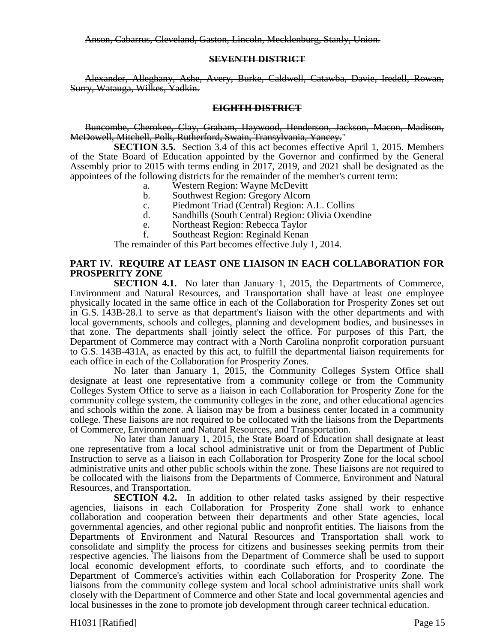Anson, Cabarrus, Cleveland, Gaston, Lincoln, Mecklenburg, Stanly, Union.

#### **SEVENTH DISTRICT**

Alexander, Alleghany, Ashe, Avery, Burke, Caldwell, Catawba, Davie, Iredell, Rowan, Surry, Watauga, Wilkes, Yadkin.

#### **EIGHTH DISTRICT**

Buncombe, Cherokee, Clay, Graham, Haywood, Henderson, Jackson, Macon, Madison, McDowell, Mitchell, Polk, Rutherford, Swain, Transylvania, Yancey."

**SECTION 3.5.** Section 3.4 of this act becomes effective April 1, 2015. Members of the State Board of Education appointed by the Governor and confirmed by the General Assembly prior to 2015 with terms ending in 2017, 2019, and 2021 shall be designated as the appointees of the following districts for the remainder of the member's current term:

- a. Western Region: Wayne McDevitt
- b. Southwest Region: Gregory Alcorn
- c. Piedmont Triad (Central) Region: A.L. Collins
- d. Sandhills (South Central) Region: Olivia Oxendine
- e. Northeast Region: Rebecca Taylor
- f. Southeast Region: Reginald Kenan

The remainder of this Part becomes effective July 1, 2014.

## **PART IV. REQUIRE AT LEAST ONE LIAISON IN EACH COLLABORATION FOR PROSPERITY ZONE**

**SECTION 4.1.** No later than January 1, 2015, the Departments of Commerce, Environment and Natural Resources, and Transportation shall have at least one employee physically located in the same office in each of the Collaboration for Prosperity Zones set out in G.S. 143B-28.1 to serve as that department's liaison with the other departments and with local governments, schools and colleges, planning and development bodies, and businesses in that zone. The departments shall jointly select the office. For purposes of this Part, the Department of Commerce may contract with a North Carolina nonprofit corporation pursuant to G.S. 143B-431A, as enacted by this act, to fulfill the departmental liaison requirements for each office in each of the Collaboration for Prosperity Zones.

No later than January 1, 2015, the Community Colleges System Office shall designate at least one representative from a community college or from the Community Colleges System Office to serve as a liaison in each Collaboration for Prosperity Zone for the community college system, the community colleges in the zone, and other educational agencies and schools within the zone. A liaison may be from a business center located in a community college. These liaisons are not required to be collocated with the liaisons from the Departments of Commerce, Environment and Natural Resources, and Transportation.

No later than January 1, 2015, the State Board of Education shall designate at least one representative from a local school administrative unit or from the Department of Public Instruction to serve as a liaison in each Collaboration for Prosperity Zone for the local school administrative units and other public schools within the zone. These liaisons are not required to be collocated with the liaisons from the Departments of Commerce, Environment and Natural Resources, and Transportation.

**SECTION 4.2.** In addition to other related tasks assigned by their respective agencies, liaisons in each Collaboration for Prosperity Zone shall work to enhance collaboration and cooperation between their departments and other State agencies, local governmental agencies, and other regional public and nonprofit entities. The liaisons from the Departments of Environment and Natural Resources and Transportation shall work to consolidate and simplify the process for citizens and businesses seeking permits from their respective agencies. The liaisons from the Department of Commerce shall be used to support local economic development efforts, to coordinate such efforts, and to coordinate the Department of Commerce's activities within each Collaboration for Prosperity Zone. The liaisons from the community college system and local school administrative units shall work closely with the Department of Commerce and other State and local governmental agencies and local businesses in the zone to promote job development through career technical education.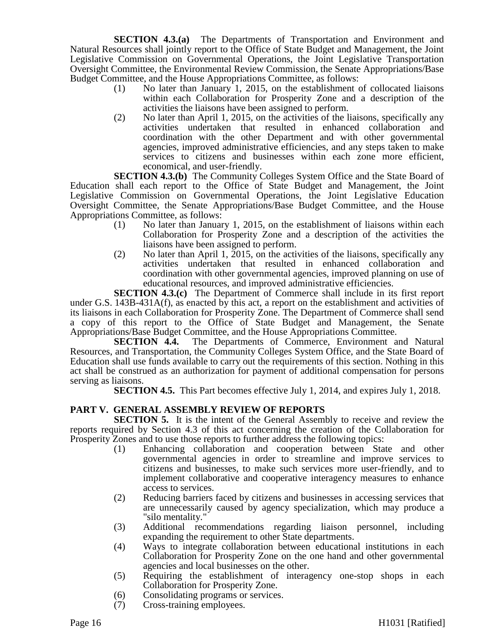**SECTION 4.3.(a)** The Departments of Transportation and Environment and Natural Resources shall jointly report to the Office of State Budget and Management, the Joint Legislative Commission on Governmental Operations, the Joint Legislative Transportation Oversight Committee, the Environmental Review Commission, the Senate Appropriations/Base Budget Committee, and the House Appropriations Committee, as follows:

- (1) No later than January 1, 2015, on the establishment of collocated liaisons within each Collaboration for Prosperity Zone and a description of the activities the liaisons have been assigned to perform.
- (2) No later than April 1, 2015, on the activities of the liaisons, specifically any activities undertaken that resulted in enhanced collaboration and coordination with the other Department and with other governmental agencies, improved administrative efficiencies, and any steps taken to make services to citizens and businesses within each zone more efficient, economical, and user-friendly.

**SECTION 4.3.(b)** The Community Colleges System Office and the State Board of Education shall each report to the Office of State Budget and Management, the Joint Legislative Commission on Governmental Operations, the Joint Legislative Education Oversight Committee, the Senate Appropriations/Base Budget Committee, and the House Appropriations Committee, as follows:

- (1) No later than January 1, 2015, on the establishment of liaisons within each Collaboration for Prosperity Zone and a description of the activities the liaisons have been assigned to perform.
- (2) No later than April 1,  $\overline{2015}$ , on the activities of the liaisons, specifically any activities undertaken that resulted in enhanced collaboration and coordination with other governmental agencies, improved planning on use of educational resources, and improved administrative efficiencies.

**SECTION 4.3.(c)** The Department of Commerce shall include in its first report under G.S. 143B-431A(f), as enacted by this act, a report on the establishment and activities of its liaisons in each Collaboration for Prosperity Zone. The Department of Commerce shall send a copy of this report to the Office of State Budget and Management, the Senate Appropriations/Base Budget Committee, and the House Appropriations Committee.

**SECTION 4.4.** The Departments of Commerce, Environment and Natural Resources, and Transportation, the Community Colleges System Office, and the State Board of Education shall use funds available to carry out the requirements of this section. Nothing in this act shall be construed as an authorization for payment of additional compensation for persons serving as liaisons.

**SECTION 4.5.** This Part becomes effective July 1, 2014, and expires July 1, 2018.

## **PART V. GENERAL ASSEMBLY REVIEW OF REPORTS**

**SECTION 5.** It is the intent of the General Assembly to receive and review the reports required by Section 4.3 of this act concerning the creation of the Collaboration for Prosperity Zones and to use those reports to further address the following topics:

- (1) Enhancing collaboration and cooperation between State and other governmental agencies in order to streamline and improve services to citizens and businesses, to make such services more user-friendly, and to implement collaborative and cooperative interagency measures to enhance access to services.
- (2) Reducing barriers faced by citizens and businesses in accessing services that are unnecessarily caused by agency specialization, which may produce a "silo mentality."
- (3) Additional recommendations regarding liaison personnel, including expanding the requirement to other State departments.
- (4) Ways to integrate collaboration between educational institutions in each Collaboration for Prosperity Zone on the one hand and other governmental agencies and local businesses on the other.
- (5) Requiring the establishment of interagency one-stop shops in each Collaboration for Prosperity Zone.
- (6) Consolidating programs or services.
- (7) Cross-training employees.